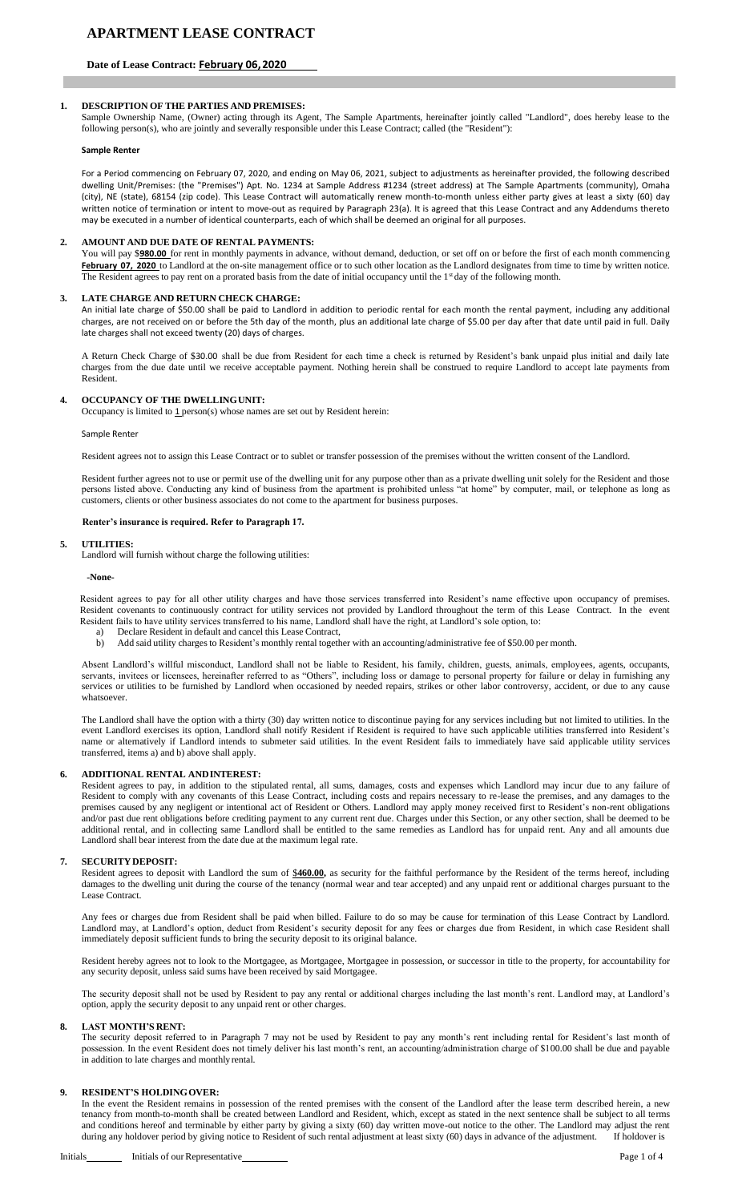# **Date of Lease Contract: February 06,2020**

### **1. DESCRIPTION OF THE PARTIES AND PREMISES:**

Sample Ownership Name, (Owner) acting through its Agent, The Sample Apartments, hereinafter jointly called "Landlord", does hereby lease to the following person(s), who are jointly and severally responsible under this Lease Contract; called (the "Resident"):

#### **Sample Renter**

For a Period commencing on February 07, 2020, and ending on May 06, 2021, subject to adjustments as hereinafter provided, the following described dwelling Unit/Premises: (the "Premises") Apt. No. 1234 at Sample Address #1234 (street address) at The Sample Apartments (community), Omaha (city), NE (state), 68154 (zip code). This Lease Contract will automatically renew month-to-month unless either party gives at least a sixty (60) day written notice of termination or intent to move-out as required by Paragraph 23(a). It is agreed that this Lease Contract and any Addendums thereto may be executed in a number of identical counterparts, each of which shall be deemed an original for all purposes.

#### **2. AMOUNT AND DUE DATE OF RENTAL PAYMENTS:**

You will pay \$**980.00** for rent in monthly payments in advance, without demand, deduction, or set off on or before the first of each month commencing February 07, 2020 to Landlord at the on-site management office or to such other location as the Landlord designates from time to time by written notice. The Resident agrees to pay rent on a prorated basis from the date of initial occupancy until the 1<sup>st</sup> day of the following month.

#### **3. LATE CHARGE AND RETURN CHECK CHARGE:**

An initial late charge of \$50.00 shall be paid to Landlord in addition to periodic rental for each month the rental payment, including any additional charges, are not received on or before the 5th day of the month, plus an additional late charge of \$5.00 per day after that date until paid in full. Daily late charges shall not exceed twenty (20) days of charges.

A Return Check Charge of \$30.00 shall be due from Resident for each time a check is returned by Resident's bank unpaid plus initial and daily late charges from the due date until we receive acceptable payment. Nothing herein shall be construed to require Landlord to accept late payments from Resident.

### **4. OCCUPANCY OF THE DWELLINGUNIT:**

Occupancy is limited to  $1$  person(s) whose names are set out by Resident herein:

Sample Renter

Resident agrees not to assign this Lease Contract or to sublet or transfer possession of the premises without the written consent of the Landlord.

Resident further agrees not to use or permit use of the dwelling unit for any purpose other than as a private dwelling unit solely for the Resident and those persons listed above. Conducting any kind of business from the apartment is prohibited unless "at home" by computer, mail, or telephone as long as customers, clients or other business associates do not come to the apartment for business purposes.

#### **Renter's insurance is required. Refer to Paragraph 17.**

#### **5. UTILITIES:**

Landlord will furnish without charge the following utilities:

#### **-None-**

Resident agrees to pay for all other utility charges and have those services transferred into Resident's name effective upon occupancy of premises. Resident covenants to continuously contract for utility services not provided by Landlord throughout the term of this Lease Contract. In the event Resident fails to have utility services transferred to his name, Landlord shall have the right, at Landlord's sole option, to:

- Declare Resident in default and cancel this Lease Contract,
- b) Add said utility charges to Resident's monthly rental together with an accounting/administrative fee of \$50.00 per month.

Absent Landlord's willful misconduct, Landlord shall not be liable to Resident, his family, children, guests, animals, employees, agents, occupants, servants, invitees or licensees, hereinafter referred to as "Others", including loss or damage to personal property for failure or delay in furnishing any services or utilities to be furnished by Landlord when occasioned by needed repairs, strikes or other labor controversy, accident, or due to any cause whatsoever.

The Landlord shall have the option with a thirty (30) day written notice to discontinue paying for any services including but not limited to utilities. In the event Landlord exercises its option, Landlord shall notify Resident if Resident is required to have such applicable utilities transferred into Resident's name or alternatively if Landlord intends to submeter said utilities. In the event Resident fails to immediately have said applicable utility services transferred, items a) and b) above shall apply.

### **6. ADDITIONAL RENTAL ANDINTEREST:**

Resident agrees to pay, in addition to the stipulated rental, all sums, damages, costs and expenses which Landlord may incur due to any failure of Resident to comply with any covenants of this Lease Contract, including costs and repairs necessary to re-lease the premises, and any damages to the premises caused by any negligent or intentional act of Resident or Others. Landlord may apply money received first to Resident's non-rent obligations and/or past due rent obligations before crediting payment to any current rent due. Charges under this Section, or any other section, shall be deemed to be additional rental, and in collecting same Landlord shall be entitled to the same remedies as Landlord has for unpaid rent. Any and all amounts due Landlord shall bear interest from the date due at the maximum legal rate.

#### **7. SECURITY DEPOSIT:**

Resident agrees to deposit with Landlord the sum of \$460.00, as security for the faithful performance by the Resident of the terms hereof, including damages to the dwelling unit during the course of the tenancy (normal wear and tear accepted) and any unpaid rent or additional charges pursuant to the Lease Contract.

Any fees or charges due from Resident shall be paid when billed. Failure to do so may be cause for termination of this Lease Contract by Landlord. Landlord may, at Landlord's option, deduct from Resident's security deposit for any fees or charges due from Resident, in which case Resident shall immediately deposit sufficient funds to bring the security deposit to its original balance.

Resident hereby agrees not to look to the Mortgagee, as Mortgagee, Mortgagee in possession, or successor in title to the property, for accountability for any security deposit, unless said sums have been received by said Mortgagee.

The security deposit shall not be used by Resident to pay any rental or additional charges including the last month's rent. Landlord may, at Landlord's option, apply the security deposit to any unpaid rent or other charges.

#### **8. LAST MONTH'S RENT:**

The security deposit referred to in Paragraph 7 may not be used by Resident to pay any month's rent including rental for Resident's last month of possession. In the event Resident does not timely deliver his last month's rent, an accounting/administration charge of \$100.00 shall be due and payable in addition to late charges and monthlyrental.

#### **9. RESIDENT'S HOLDINGOVER:**

In the event the Resident remains in possession of the rented premises with the consent of the Landlord after the lease term described herein, a new tenancy from month-to-month shall be created between Landlord and Resident, which, except as stated in the next sentence shall be subject to all terms and conditions hereof and terminable by either party by giving a sixty (60) day written move-out notice to the other. The Landlord may adjust the rent during any holdover period by giving notice to Resident of such rental during any holdover period by giving notice to Resident of such rental adjustment at least sixty (60) days in advance of the adjustment.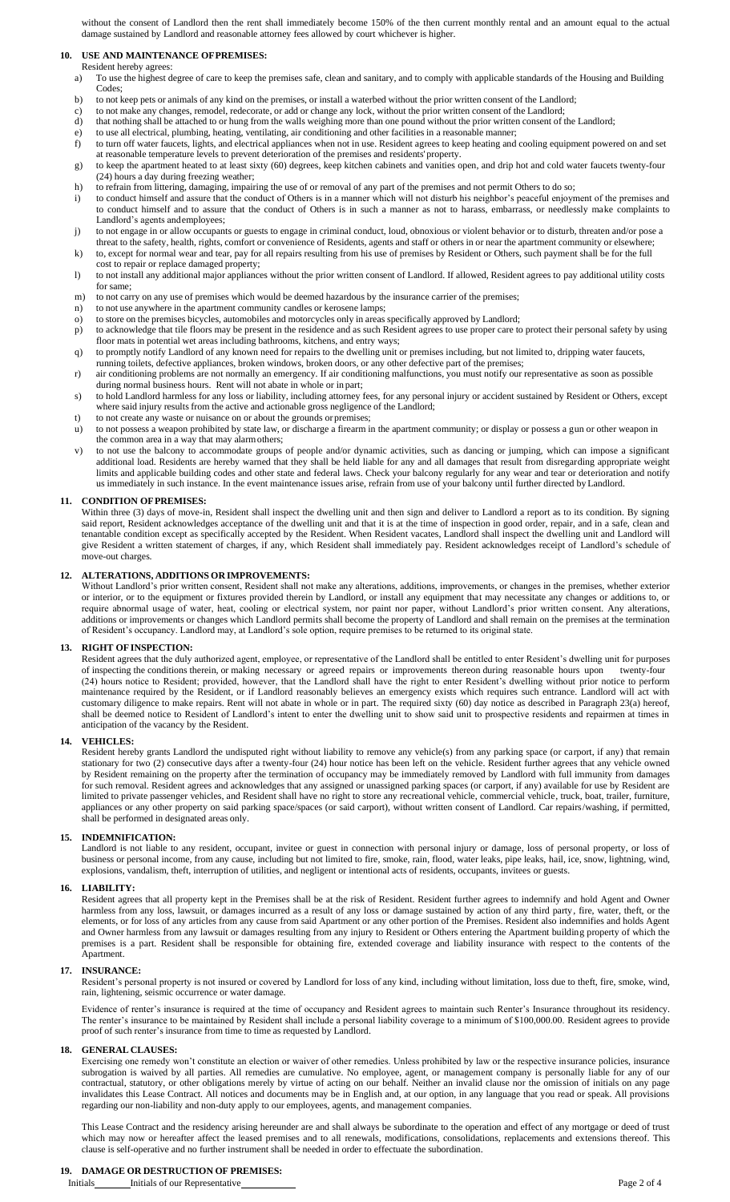without the consent of Landlord then the rent shall immediately become 150% of the then current monthly rental and an amount equal to the actual damage sustained by Landlord and reasonable attorney fees allowed by court whichever is higher.

# **10. USE AND MAINTENANCE OFPREMISES:**

- Resident hereby agrees: a) To use the highest degree of care to keep the premises safe, clean and sanitary, and to comply with applicable standards of the Housing and Building Codes;
- b) to not keep pets or animals of any kind on the premises, or install a waterbed without the prior written consent of the Landlord;
- c) to not make any changes, remodel, redecorate, or add or change any lock, without the prior written consent of the Landlord;
- d) that nothing shall be attached to or hung from the walls weighing more than one pound without the prior written consent of the Landlord;
- e) to use all electrical, plumbing, heating, ventilating, air conditioning and other facilities in a reasonable manner; f) to turn off water faucets, lights, and electrical appliances when not in use. Resident agrees to keep heating and cooling equipment powered on and set
- at reasonable temperature levels to prevent deterioration of the premises and residents' property. g) to keep the apartment heated to at least sixty (60) degrees, keep kitchen cabinets and vanities open, and drip hot and cold water faucets twenty-four (24) hours a day during freezing weather;
- h) to refrain from littering, damaging, impairing the use of or removal of any part of the premises and not permit Others to do so;
- i) to conduct himself and assure that the conduct of Others is in a manner which will not disturb his neighbor's peaceful enjoyment of the premises and to conduct himself and to assure that the conduct of Others is in such a manner as not to harass, embarrass, or needlessly make complaints to Landlord's agents andemployees;
- j) to not engage in or allow occupants or guests to engage in criminal conduct, loud, obnoxious or violent behavior or to disturb, threaten and/or pose a threat to the safety, health, rights, comfort or convenience of Residents, agents and staff or others in or near the apartment community or elsewhere;
- k) to, except for normal wear and tear, pay for all repairs resulting from his use of premises by Resident or Others, such payment shall be for the full cost to repair or replace damaged property;
- l) to not install any additional major appliances without the prior written consent of Landlord. If allowed, Resident agrees to pay additional utility costs for same;
- m) to not carry on any use of premises which would be deemed hazardous by the insurance carrier of the premises;
- n) to not use anywhere in the apartment community candles or kerosene lamps;
- o) to store on the premises bicycles, automobiles and motorcycles only in areas specifically approved by Landlord; p) to acknowledge that tile floors may be present in the residence and as such Resident agrees to use proper care to protect their personal safety by using floor mats in potential wet areas including bathrooms, kitchens, and entry ways;
- q) to promptly notify Landlord of any known need for repairs to the dwelling unit or premises including, but not limited to, dripping water faucets, running toilets, defective appliances, broken windows, broken doors, or any other defective part of the premises;
- r) air conditioning problems are not normally an emergency. If air conditioning malfunctions, you must notify our representative as soon as possible during normal business hours. Rent will not abate in whole or in part;
- s) to hold Landlord harmless for any loss or liability, including attorney fees, for any personal injury or accident sustained by Resident or Others, except where said injury results from the active and actionable gross negligence of the Landlord;
- t) to not create any waste or nuisance on or about the grounds orpremises;
- u) to not possess a weapon prohibited by state law, or discharge a firearm in the apartment community; or display or possess a gun or other weapon in the common area in a way that may alarmothers;
- v) to not use the balcony to accommodate groups of people and/or dynamic activities, such as dancing or jumping, which can impose a significant additional load. Residents are hereby warned that they shall be held liable for any and all damages that result from disregarding appropriate weight limits and applicable building codes and other state and federal laws. Check your balcony regularly for any wear and tear or deterioration and notify us immediately in such instance. In the event maintenance issues arise, refrain from use of your balcony until further directed byLandlord.

# **11. CONDITION OFPREMISES:**

Within three (3) days of move-in, Resident shall inspect the dwelling unit and then sign and deliver to Landlord a report as to its condition. By signing said report, Resident acknowledges acceptance of the dwelling unit and that it is at the time of inspection in good order, repair, and in a safe, clean and tenantable condition except as specifically accepted by the Resident. When Resident vacates, Landlord shall inspect the dwelling unit and Landlord will give Resident a written statement of charges, if any, which Resident shall immediately pay. Resident acknowledges receipt of Landlord's schedule of move-out charges.

### **12. ALTERATIONS, ADDITIONS OR IMPROVEMENTS:**

Without Landlord's prior written consent, Resident shall not make any alterations, additions, improvements, or changes in the premises, whether exterior or interior, or to the equipment or fixtures provided therein by Landlord, or install any equipment that may necessitate any changes or additions to, or require abnormal usage of water, heat, cooling or electrical system, nor paint nor paper, without Landlord's prior written consent. Any alterations, additions or improvements or changes which Landlord permits shall become the property of Landlord and shall remain on the premises at the termination of Resident's occupancy. Landlord may, at Landlord's sole option, require premises to be returned to its original state.

#### **13. RIGHT OFINSPECTION:**

Resident agrees that the duly authorized agent, employee, or representative of the Landlord shall be entitled to enter Resident's dwelling unit for purposes of inspecting the conditions therein, or making necessary or agreed repairs or improvements thereon during reasonable hours upon twenty-four (24) hours notice to Resident; provided, however, that the Landlord shall have the right to enter Resident's dwelling without prior notice to perform maintenance required by the Resident, or if Landlord reasonably believes an emergency exists which requires such entrance. Landlord will act with customary diligence to make repairs. Rent will not abate in whole or in part. The required sixty (60) day notice as described in Paragraph 23(a) hereof, shall be deemed notice to Resident of Landlord's intent to enter the dwelling unit to show said unit to prospective residents and repairmen at times in anticipation of the vacancy by the Resident.

# **14. VEHICLES:**

Resident hereby grants Landlord the undisputed right without liability to remove any vehicle(s) from any parking space (or carport, if any) that remain stationary for two (2) consecutive days after a twenty-four (24) hour notice has been left on the vehicle. Resident further agrees that any vehicle owned by Resident remaining on the property after the termination of occupancy may be immediately removed by Landlord with full immunity from damages for such removal. Resident agrees and acknowledges that any assigned or unassigned parking spaces (or carport, if any) available for use by Resident are limited to private passenger vehicles, and Resident shall have no right to store any recreational vehicle, commercial vehicle, truck, boat, trailer, furniture, appliances or any other property on said parking space/spaces (or said carport), without written consent of Landlord. Car repairs/washing, if permitted, shall be performed in designated areas only.

# **15. INDEMNIFICATION:**

Landlord is not liable to any resident, occupant, invitee or guest in connection with personal injury or damage, loss of personal property, or loss of business or personal income, from any cause, including but not limited to fire, smoke, rain, flood, water leaks, pipe leaks, hail, ice, snow, lightning, wind, explosions, vandalism, theft, interruption of utilities, and negligent or intentional acts of residents, occupants, invitees or guests.

# **16. LIABILITY:**

Resident agrees that all property kept in the Premises shall be at the risk of Resident. Resident further agrees to indemnify and hold Agent and Owner harmless from any loss, lawsuit, or damages incurred as a result of any loss or damage sustained by action of any third party, fire, water, theft, or the elements, or for loss of any articles from any cause from said Apartment or any other portion of the Premises. Resident also indemnifies and holds Agent and Owner harmless from any lawsuit or damages resulting from any injury to Resident or Others entering the Apartment building property of which the premises is a part. Resident shall be responsible for obtaining fire, extended coverage and liability insurance with respect to the contents of the Apartment.

# **17. INSURANCE:**

Resident's personal property is not insured or covered by Landlord for loss of any kind, including without limitation, loss due to theft, fire, smoke, wind, rain, lightening, seismic occurrence or water damage.

Evidence of renter's insurance is required at the time of occupancy and Resident agrees to maintain such Renter's Insurance throughout its residency. The renter's insurance to be maintained by Resident shall include a personal liability coverage to a minimum of \$100,000.00. Resident agrees to provide proof of such renter's insurance from time to time as requested by Landlord.

#### **18. GENERAL CLAUSES:**

Exercising one remedy won't constitute an election or waiver of other remedies. Unless prohibited by law or the respective insurance policies, insurance subrogation is waived by all parties. All remedies are cumulative. No employee, agent, or management company is personally liable for any of our contractual, statutory, or other obligations merely by virtue of acting on our behalf. Neither an invalid clause nor the omission of initials on any page invalidates this Lease Contract. All notices and documents may be in English and, at our option, in any language that you read or speak. All provisions regarding our non-liability and non-duty apply to our employees, agents, and management companies.

This Lease Contract and the residency arising hereunder are and shall always be subordinate to the operation and effect of any mortgage or deed of trust which may now or hereafter affect the leased premises and to all renewals, modifications, consolidations, replacements and extensions thereof. This clause is self-operative and no further instrument shall be needed in order to effectuate the subordination.

# **19. DAMAGE OR DESTRUCTION OF PREMISES:**

Initials Initials of our Representative Page 2 of 4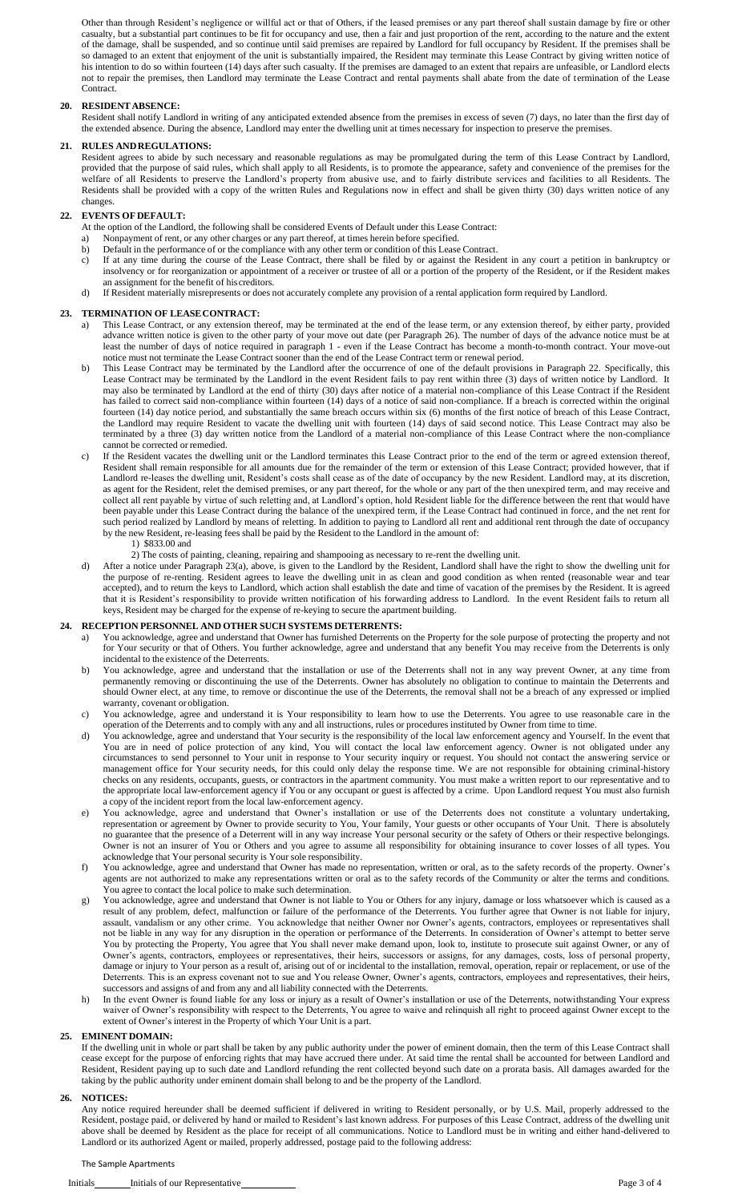Other than through Resident's negligence or willful act or that of Others, if the leased premises or any part thereof shall sustain damage by fire or other casualty, but a substantial part continues to be fit for occupancy and use, then a fair and just proportion of the rent, according to the nature and the extent of the damage, shall be suspended, and so continue until said premises are repaired by Landlord for full occupancy by Resident. If the premises shall be so damaged to an extent that enjoyment of the unit is substantially impaired, the Resident may terminate this Lease Contract by giving written notice of his intention to do so within fourteen (14) days after such casualty. If the premises are damaged to an extent that repairs are unfeasible, or Landlord elects not to repair the premises, then Landlord may terminate the Lease Contract and rental payments shall abate from the date of termination of the Lease Contract.

# **20. RESIDENT ABSENCE:**

Resident shall notify Landlord in writing of any anticipated extended absence from the premises in excess of seven (7) days, no later than the first day of the extended absence. During the absence, Landlord may enter the dwelling unit at times necessary for inspection to preserve the premises.

# **21. RULES ANDREGULATIONS:**

Resident agrees to abide by such necessary and reasonable regulations as may be promulgated during the term of this Lease Contract by Landlord, provided that the purpose of said rules, which shall apply to all Residents, is to promote the appearance, safety and convenience of the premises for the welfare of all Residents to preserve the Landlord's property from abusive use, and to fairly distribute services and facilities to all Residents. The Residents shall be provided with a copy of the written Rules and Regulations now in effect and shall be given thirty (30) days written notice of any changes.

# **22. EVENTS OF DEFAULT:**

At the option of the Landlord, the following shall be considered Events of Default under this Lease Contract:

- a) Nonpayment of rent, or any other charges or any part thereof, at times herein before specified.
- b) Default in the performance of or the compliance with any other term or condition of this Lease Contract.
- c) If at any time during the course of the Lease Contract, there shall be filed by or against the Resident in any court a petition in bankruptcy or insolvency or for reorganization or appointment of a receiver or trustee of all or a portion of the property of the Resident, or if the Resident makes an assignment for the benefit of hiscreditors.
- d) If Resident materially misrepresents or does not accurately complete any provision of a rental application form required by Landlord.

### **23. TERMINATION OF LEASECONTRACT:**

- a) This Lease Contract, or any extension thereof, may be terminated at the end of the lease term, or any extension thereof, by either party, provided advance written notice is given to the other party of your move out date (per Paragraph 26). The number of days of the advance notice must be at least the number of days of notice required in paragraph 1 - even if the Lease Contract has become a month-to-month contract. Your move-out notice must not terminate the Lease Contract sooner than the end of the Lease Contract term or renewal period.
- b) This Lease Contract may be terminated by the Landlord after the occurrence of one of the default provisions in Paragraph 22. Specifically, this Lease Contract may be terminated by the Landlord in the event Resident fails to pay rent within three (3) days of written notice by Landlord. It may also be terminated by Landlord at the end of thirty (30) days after notice of a material non-compliance of this Lease Contract if the Resident has failed to correct said non-compliance within fourteen (14) days of a notice of said non-compliance. If a breach is corrected within the original fourteen (14) day notice period, and substantially the same breach occurs within six (6) months of the first notice of breach of this Lease Contract, the Landlord may require Resident to vacate the dwelling unit with fourteen (14) days of said second notice. This Lease Contract may also be terminated by a three (3) day written notice from the Landlord of a material non-compliance of this Lease Contract where the non-compliance cannot be corrected or remedied.
- c) If the Resident vacates the dwelling unit or the Landlord terminates this Lease Contract prior to the end of the term or agreed extension thereof, Resident shall remain responsible for all amounts due for the remainder of the term or extension of this Lease Contract; provided however, that if Landlord re-leases the dwelling unit, Resident's costs shall cease as of the date of occupancy by the new Resident. Landlord may, at its discretion, as agent for the Resident, relet the demised premises, or any part thereof, for the whole or any part of the then unexpired term, and may receive and collect all rent payable by virtue of such reletting and, at Landlord's option, hold Resident liable for the difference between the rent that would have been payable under this Lease Contract during the balance of the unexpired term, if the Lease Contract had continued in force, and the net rent for such period realized by Landlord by means of reletting. In addition to paying to Landlord all rent and additional rent through the date of occupancy by the new Resident, re-leasing fees shall be paid by the Resident to the Landlord in the amount of:

# 1) \$833.00 and

2) The costs of painting, cleaning, repairing and shampooing as necessary to re-rent the dwelling unit.

d) After a notice under Paragraph 23(a), above, is given to the Landlord by the Resident, Landlord shall have the right to show the dwelling unit for the purpose of re-renting. Resident agrees to leave the dwelling unit in as clean and good condition as when rented (reasonable wear and tear accepted), and to return the keys to Landlord, which action shall establish the date and time of vacation of the premises by the Resident. It is agreed that it is Resident's responsibility to provide written notification of his forwarding address to Landlord. In the event Resident fails to return all keys, Resident may be charged for the expense of re-keying to secure the apartment building.

### **24. RECEPTION PERSONNEL AND OTHER SUCH SYSTEMS DETERRENTS:**

- a) You acknowledge, agree and understand that Owner has furnished Deterrents on the Property for the sole purpose of protecting the property and not for Your security or that of Others. You further acknowledge, agree and understand that any benefit You may receive from the Deterrents is only incidental to the existence of the Deterrents.
- b) You acknowledge, agree and understand that the installation or use of the Deterrents shall not in any way prevent Owner, at any time from permanently removing or discontinuing the use of the Deterrents. Owner has absolutely no obligation to continue to maintain the Deterrents and should Owner elect, at any time, to remove or discontinue the use of the Deterrents, the removal shall not be a breach of any expressed or implied warranty, covenant or obligation.
- c) You acknowledge, agree and understand it is Your responsibility to learn how to use the Deterrents. You agree to use reasonable care in the operation of the Deterrents and to comply with any and all instructions, rules or procedures instituted by Owner from time to time.
- d) You acknowledge, agree and understand that Your security is the responsibility of the local law enforcement agency and Yourself. In the event that You are in need of police protection of any kind, You will contact the local law enforcement agency. Owner is not obligated under any circumstances to send personnel to Your unit in response to Your security inquiry or request. You should not contact the answering service or management office for Your security needs, for this could only delay the response time. We are not responsible for obtaining criminal-history checks on any residents, occupants, guests, or contractors in the apartment community. You must make a written report to our representative and to the appropriate local law-enforcement agency if You or any occupant or guest is affected by a crime. Upon Landlord request You must also furnish a copy of the incident report from the local law-enforcement agency.
- You acknowledge, agree and understand that Owner's installation or use of the Deterrents does not constitute a voluntary undertaking, representation or agreement by Owner to provide security to You, Your family, Your guests or other occupants of Your Unit. There is absolutely no guarantee that the presence of a Deterrent will in any way increase Your personal security or the safety of Others or their respective belongings. Owner is not an insurer of You or Others and you agree to assume all responsibility for obtaining insurance to cover losses of all types. You acknowledge that Your personal security is Your sole responsibility.
- f) You acknowledge, agree and understand that Owner has made no representation, written or oral, as to the safety records of the property. Owner's agents are not authorized to make any representations written or oral as to the safety records of the Community or alter the terms and conditions. You agree to contact the local police to make such determination.
- g) You acknowledge, agree and understand that Owner is not liable to You or Others for any injury, damage or loss whatsoever which is caused as a result of any problem, defect, malfunction or failure of the performance of the Deterrents. You further agree that Owner is not liable for injury, assault, vandalism or any other crime. You acknowledge that neither Owner nor Owner's agents, contractors, employees or representatives shall not be liable in any way for any disruption in the operation or performance of the Deterrents. In consideration of Owner's attempt to better serve You by protecting the Property, You agree that You shall never make demand upon, look to, institute to prosecute suit against Owner, or any of Owner's agents, contractors, employees or representatives, their heirs, successors or assigns, for any damages, costs, loss of personal property, damage or injury to Your person as a result of, arising out of or incidental to the installation, removal, operation, repair or replacement, or use of the Deterrents. This is an express covenant not to sue and You release Owner, Owner's agents, contractors, employees and representatives, their heirs, successors and assigns of and from any and all liability connected with the Deterrents.
- h) In the event Owner is found liable for any loss or injury as a result of Owner's installation or use of the Deterrents, notwithstanding Your express waiver of Owner's responsibility with respect to the Deterrents, You agree to waive and relinquish all right to proceed against Owner except to the extent of Owner's interest in the Property of which Your Unit is a part.

# **25. EMINENT DOMAIN:**

If the dwelling unit in whole or part shall be taken by any public authority under the power of eminent domain, then the term of this Lease Contract shall cease except for the purpose of enforcing rights that may have accrued there under. At said time the rental shall be accounted for between Landlord and Resident, Resident paying up to such date and Landlord refunding the rent collected beyond such date on a prorata basis. All damages awarded for the taking by the public authority under eminent domain shall belong to and be the property of the Landlord.

#### **26. NOTICES:**

Any notice required hereunder shall be deemed sufficient if delivered in writing to Resident personally, or by U.S. Mail, properly addressed to the Resident, postage paid, or delivered by hand or mailed to Resident's last known address. For purposes of this Lease Contract, address of the dwelling unit above shall be deemed by Resident as the place for receipt of all communications. Notice to Landlord must be in writing and either hand-delivered to Landlord or its authorized Agent or mailed, properly addressed, postage paid to the following address: